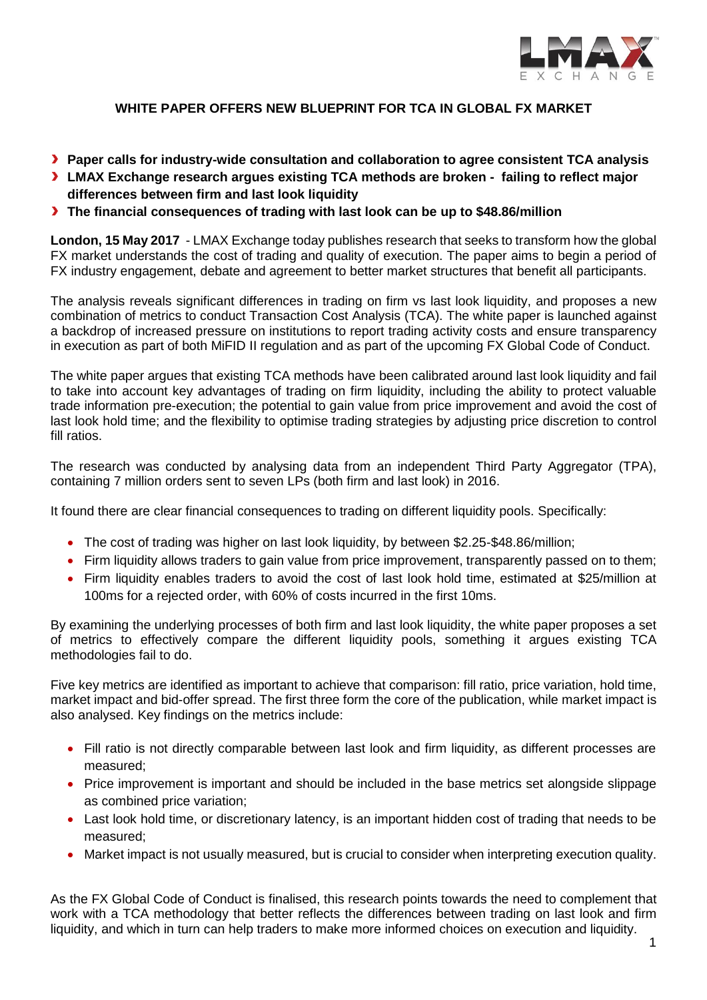

# **WHITE PAPER OFFERS NEW BLUEPRINT FOR TCA IN GLOBAL FX MARKET**

- **Paper calls for industry-wide consultation and collaboration to agree consistent TCA analysis**
- **LMAX Exchange research argues existing TCA methods are broken failing to reflect major differences between firm and last look liquidity**
- **The financial consequences of trading with last look can be up to \$48.86/million**

**London, 15 May 2017** - LMAX Exchange today publishes research that seeks to transform how the global FX market understands the cost of trading and quality of execution. The paper aims to begin a period of FX industry engagement, debate and agreement to better market structures that benefit all participants.

The analysis reveals significant differences in trading on firm vs last look liquidity, and proposes a new combination of metrics to conduct Transaction Cost Analysis (TCA). The white paper is launched against a backdrop of increased pressure on institutions to report trading activity costs and ensure transparency in execution as part of both MiFID II regulation and as part of the upcoming FX Global Code of Conduct.

The white paper argues that existing TCA methods have been calibrated around last look liquidity and fail to take into account key advantages of trading on firm liquidity, including the ability to protect valuable trade information pre-execution; the potential to gain value from price improvement and avoid the cost of last look hold time; and the flexibility to optimise trading strategies by adjusting price discretion to control fill ratios.

The research was conducted by analysing data from an independent Third Party Aggregator (TPA), containing 7 million orders sent to seven LPs (both firm and last look) in 2016.

It found there are clear financial consequences to trading on different liquidity pools. Specifically:

- The cost of trading was higher on last look liquidity, by between \$2.25-\$48.86/million;
- Firm liquidity allows traders to gain value from price improvement, transparently passed on to them;
- Firm liquidity enables traders to avoid the cost of last look hold time, estimated at \$25/million at 100ms for a rejected order, with 60% of costs incurred in the first 10ms.

By examining the underlying processes of both firm and last look liquidity, the white paper proposes a set of metrics to effectively compare the different liquidity pools, something it argues existing TCA methodologies fail to do.

Five key metrics are identified as important to achieve that comparison: fill ratio, price variation, hold time, market impact and bid-offer spread. The first three form the core of the publication, while market impact is also analysed. Key findings on the metrics include:

- Fill ratio is not directly comparable between last look and firm liquidity, as different processes are measured;
- Price improvement is important and should be included in the base metrics set alongside slippage as combined price variation;
- Last look hold time, or discretionary latency, is an important hidden cost of trading that needs to be measured;
- Market impact is not usually measured, but is crucial to consider when interpreting execution quality.

As the FX Global Code of Conduct is finalised, this research points towards the need to complement that work with a TCA methodology that better reflects the differences between trading on last look and firm liquidity, and which in turn can help traders to make more informed choices on execution and liquidity.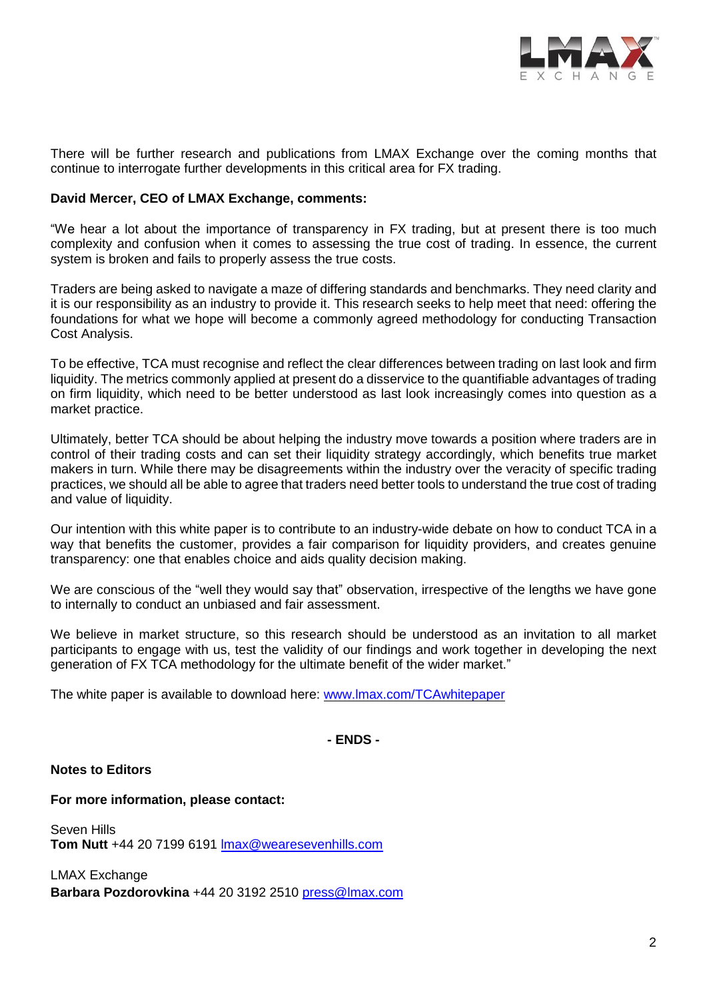

There will be further research and publications from LMAX Exchange over the coming months that continue to interrogate further developments in this critical area for FX trading.

### **David Mercer, CEO of LMAX Exchange, comments:**

"We hear a lot about the importance of transparency in FX trading, but at present there is too much complexity and confusion when it comes to assessing the true cost of trading. In essence, the current system is broken and fails to properly assess the true costs.

Traders are being asked to navigate a maze of differing standards and benchmarks. They need clarity and it is our responsibility as an industry to provide it. This research seeks to help meet that need: offering the foundations for what we hope will become a commonly agreed methodology for conducting Transaction Cost Analysis.

To be effective, TCA must recognise and reflect the clear differences between trading on last look and firm liquidity. The metrics commonly applied at present do a disservice to the quantifiable advantages of trading on firm liquidity, which need to be better understood as last look increasingly comes into question as a market practice.

Ultimately, better TCA should be about helping the industry move towards a position where traders are in control of their trading costs and can set their liquidity strategy accordingly, which benefits true market makers in turn. While there may be disagreements within the industry over the veracity of specific trading practices, we should all be able to agree that traders need better tools to understand the true cost of trading and value of liquidity.

Our intention with this white paper is to contribute to an industry-wide debate on how to conduct TCA in a way that benefits the customer, provides a fair comparison for liquidity providers, and creates genuine transparency: one that enables choice and aids quality decision making.

We are conscious of the "well they would say that" observation, irrespective of the lengths we have gone to internally to conduct an unbiased and fair assessment.

We believe in market structure, so this research should be understood as an invitation to all market participants to engage with us, test the validity of our findings and work together in developing the next generation of FX TCA methodology for the ultimate benefit of the wider market."

The white paper is available to download here: [www.lmax.com/TCAwhitepaper](http://www.lmax.com/TCAwhitepaper)

## **- ENDS -**

#### **Notes to Editors**

#### **For more information, please contact:**

Seven Hills **Tom Nutt** +44 20 7199 6191 [lmax@wearesevenhills.com](mailto:lmax@wearesevenhills.com)

LMAX Exchange **Barbara Pozdorovkina** +44 20 3192 2510 [press@lmax.com](mailto:press@lmax.com)